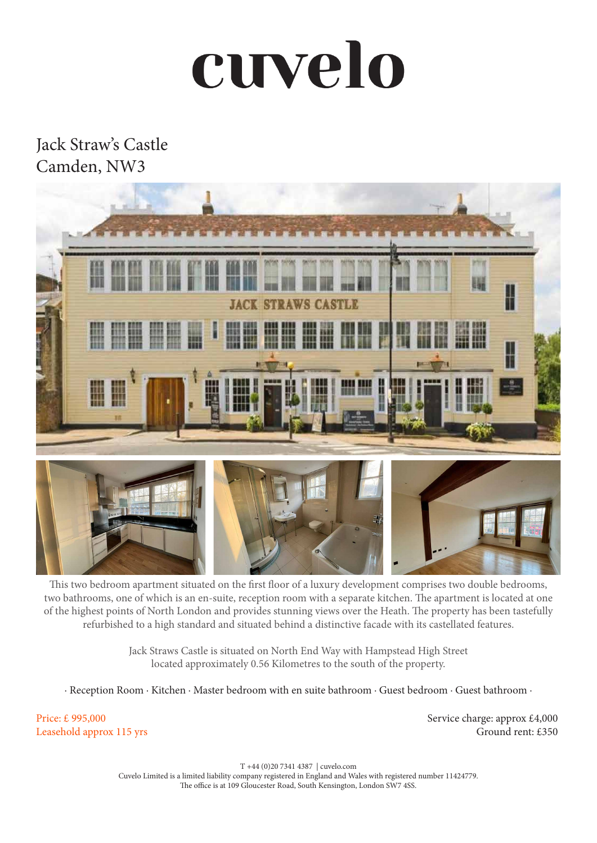## cuvelo

## Jack Straw's Castle Camden, NW3



This two bedroom apartment situated on the first floor of a luxury development comprises two double bedrooms, two bathrooms, one of which is an en-suite, reception room with a separate kitchen. The apartment is located at one of the highest points of North London and provides stunning views over the Heath. The property has been tastefully refurbished to a high standard and situated behind a distinctive facade with its castellated features.

> Jack Straws Castle is situated on North End Way with Hampstead High Street located approximately 0.56 Kilometres to the south of the property.

· Reception Room · Kitchen · Master bedroom with en suite bathroom · Guest bedroom · Guest bathroom ·

Price: £ 995,000 Leasehold approx 115 yrs Service charge: approx £4,000 Ground rent: £350

T +44 (0)20 7341 4387 | cuvelo.com Cuvelo Limited is a limited liability company registered in England and Wales with registered number 11424779. The office is at 109 Gloucester Road, South Kensington, London SW7 4SS.